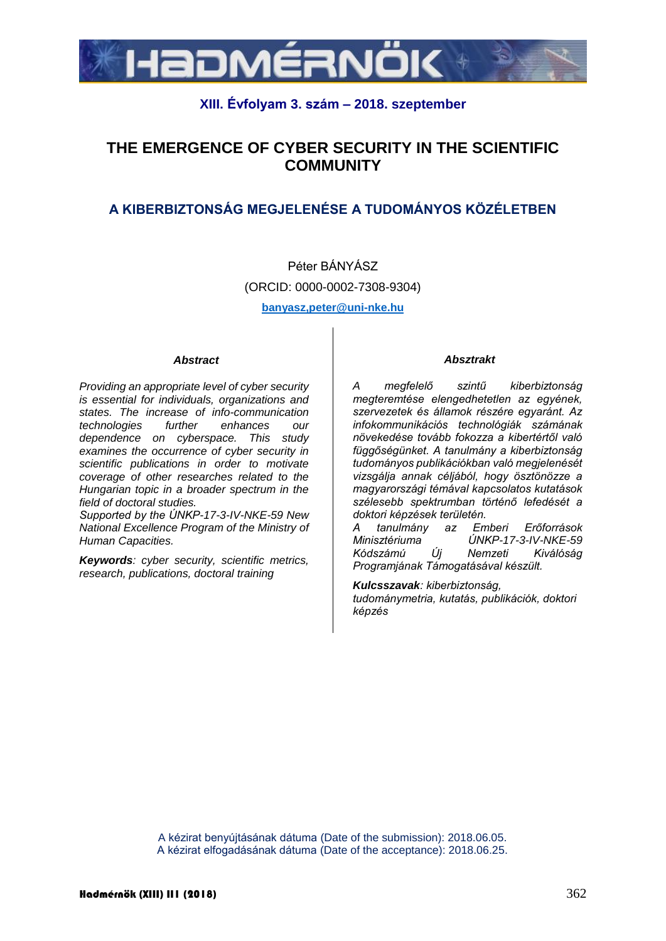

## **XIII. Évfolyam 3. szám – 2018. szeptember**

# **THE EMERGENCE OF CYBER SECURITY IN THE SCIENTIFIC COMMUNITY**

# **A KIBERBIZTONSÁG MEGJELENÉSE A TUDOMÁNYOS KÖZÉLETBEN**

Péter BÁNYÁSZ (ORCID: 0000-0002-7308-9304) **banyasz,peter@uni-nke.hu**

*Abstract*

*Providing an appropriate level of cyber security is essential for individuals, organizations and states. The increase of info-communication technologies further enhances our dependence on cyberspace. This study examines the occurrence of cyber security in scientific publications in order to motivate coverage of other researches related to the Hungarian topic in a broader spectrum in the field of doctoral studies.*

*Supported by the ÚNKP-17-3-IV-NKE-59 New National Excellence Program of the Ministry of Human Capacities.*

*Keywords: cyber security, scientific metrics, research, publications, doctoral training*

#### *Absztrakt*

*A megfelelő szintű kiberbiztonság megteremtése elengedhetetlen az egyének, szervezetek és államok részére egyaránt. Az infokommunikációs technológiák számának növekedése tovább fokozza a kibertértől való függőségünket. A tanulmány a kiberbiztonság tudományos publikációkban való megjelenését vizsgálja annak céljából, hogy ösztönözze a magyarországi témával kapcsolatos kutatások szélesebb spektrumban történő lefedését a doktori képzések területén.*

*A tanulmány az Emberi Erőforrások Minisztériuma ÚNKP-17-3-IV-NKE-59 Kódszámú Új Nemzeti Kiválóság Programjának Támogatásával készült.*

*Kulcsszavak: kiberbiztonság, tudománymetria, kutatás, publikációk, doktori képzés*

A kézirat benyújtásának dátuma (Date of the submission): 2018.06.05. A kézirat elfogadásának dátuma (Date of the acceptance): 2018.06.25.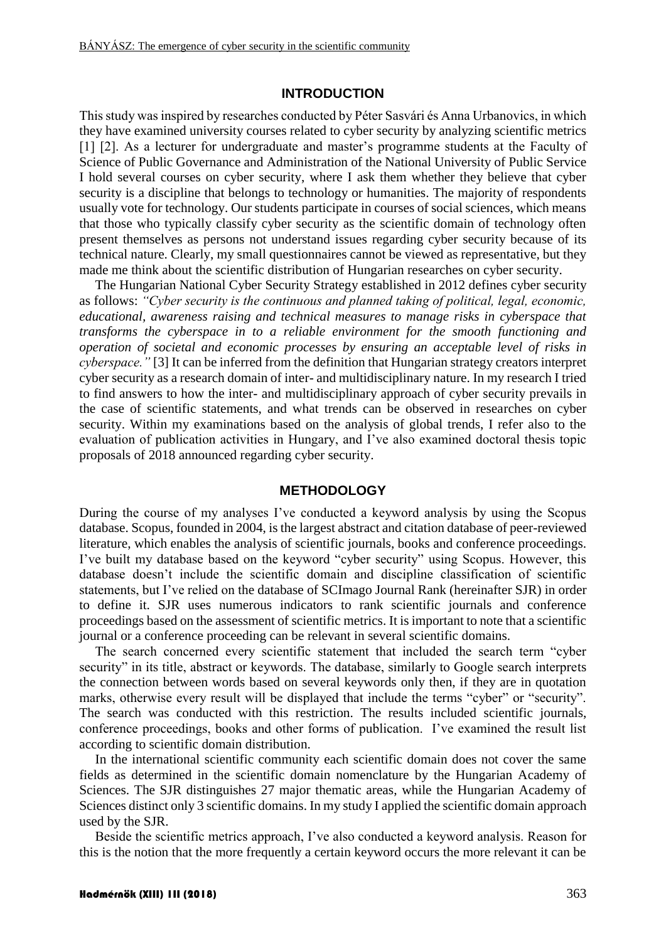## **INTRODUCTION**

This study was inspired by researches conducted by Péter Sasvári és Anna Urbanovics, in which they have examined university courses related to cyber security by analyzing scientific metrics [1] [2]. As a lecturer for undergraduate and master's programme students at the Faculty of Science of Public Governance and Administration of the National University of Public Service I hold several courses on cyber security, where I ask them whether they believe that cyber security is a discipline that belongs to technology or humanities. The majority of respondents usually vote for technology. Our students participate in courses of social sciences, which means that those who typically classify cyber security as the scientific domain of technology often present themselves as persons not understand issues regarding cyber security because of its technical nature. Clearly, my small questionnaires cannot be viewed as representative, but they made me think about the scientific distribution of Hungarian researches on cyber security.

The Hungarian National Cyber Security Strategy established in 2012 defines cyber security as follows: *"Cyber security is the continuous and planned taking of political, legal, economic, educational, awareness raising and technical measures to manage risks in cyberspace that transforms the cyberspace in to a reliable environment for the smooth functioning and operation of societal and economic processes by ensuring an acceptable level of risks in cyberspace."* [3] It can be inferred from the definition that Hungarian strategy creators interpret cyber security as a research domain of inter- and multidisciplinary nature. In my research I tried to find answers to how the inter- and multidisciplinary approach of cyber security prevails in the case of scientific statements, and what trends can be observed in researches on cyber security. Within my examinations based on the analysis of global trends, I refer also to the evaluation of publication activities in Hungary, and I've also examined doctoral thesis topic proposals of 2018 announced regarding cyber security.

### **METHODOLOGY**

During the course of my analyses I've conducted a keyword analysis by using the Scopus database. Scopus, founded in 2004, is the largest abstract and citation database of peer-reviewed literature, which enables the analysis of scientific journals, books and conference proceedings. I've built my database based on the keyword "cyber security" using Scopus. However, this database doesn't include the scientific domain and discipline classification of scientific statements, but I've relied on the database of SCImago Journal Rank (hereinafter SJR) in order to define it. SJR uses numerous indicators to rank scientific journals and conference proceedings based on the assessment of scientific metrics. It is important to note that a scientific journal or a conference proceeding can be relevant in several scientific domains.

The search concerned every scientific statement that included the search term "cyber security" in its title, abstract or keywords. The database, similarly to Google search interprets the connection between words based on several keywords only then, if they are in quotation marks, otherwise every result will be displayed that include the terms "cyber" or "security". The search was conducted with this restriction. The results included scientific journals, conference proceedings, books and other forms of publication. I've examined the result list according to scientific domain distribution.

In the international scientific community each scientific domain does not cover the same fields as determined in the scientific domain nomenclature by the Hungarian Academy of Sciences. The SJR distinguishes 27 major thematic areas, while the Hungarian Academy of Sciences distinct only 3 scientific domains. In my study I applied the scientific domain approach used by the SJR.

Beside the scientific metrics approach, I've also conducted a keyword analysis. Reason for this is the notion that the more frequently a certain keyword occurs the more relevant it can be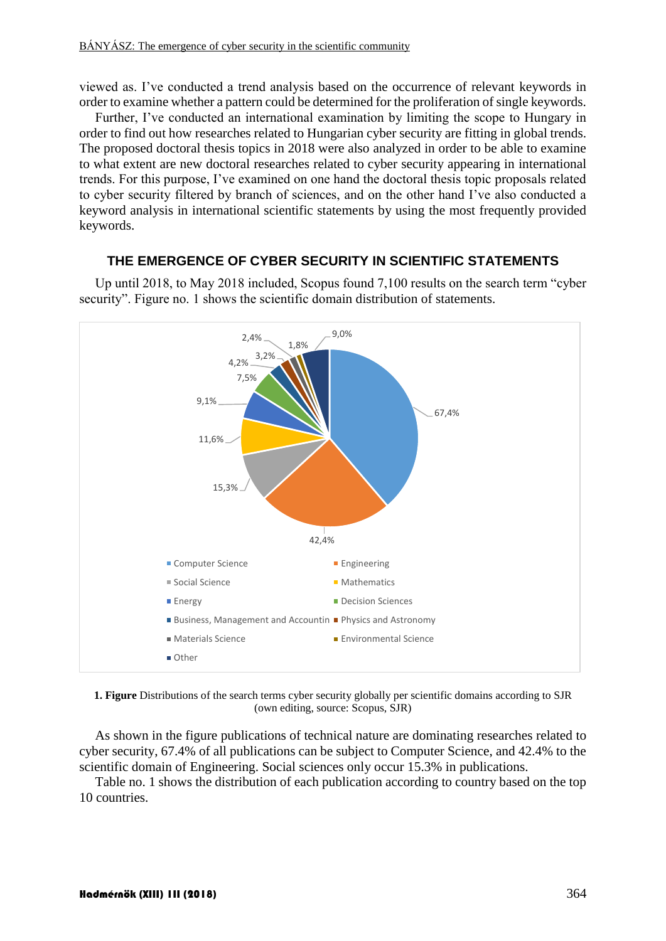viewed as. I've conducted a trend analysis based on the occurrence of relevant keywords in order to examine whether a pattern could be determined for the proliferation of single keywords.

Further, I've conducted an international examination by limiting the scope to Hungary in order to find out how researches related to Hungarian cyber security are fitting in global trends. The proposed doctoral thesis topics in 2018 were also analyzed in order to be able to examine to what extent are new doctoral researches related to cyber security appearing in international trends. For this purpose, I've examined on one hand the doctoral thesis topic proposals related to cyber security filtered by branch of sciences, and on the other hand I've also conducted a keyword analysis in international scientific statements by using the most frequently provided keywords.

### **THE EMERGENCE OF CYBER SECURITY IN SCIENTIFIC STATEMENTS**

Up until 2018, to May 2018 included, Scopus found 7,100 results on the search term "cyber security". Figure no. 1 shows the scientific domain distribution of statements.



**1. Figure** Distributions of the search terms cyber security globally per scientific domains according to SJR (own editing, source: Scopus, SJR)

As shown in the figure publications of technical nature are dominating researches related to cyber security, 67.4% of all publications can be subject to Computer Science, and 42.4% to the scientific domain of Engineering. Social sciences only occur 15.3% in publications.

Table no. 1 shows the distribution of each publication according to country based on the top 10 countries.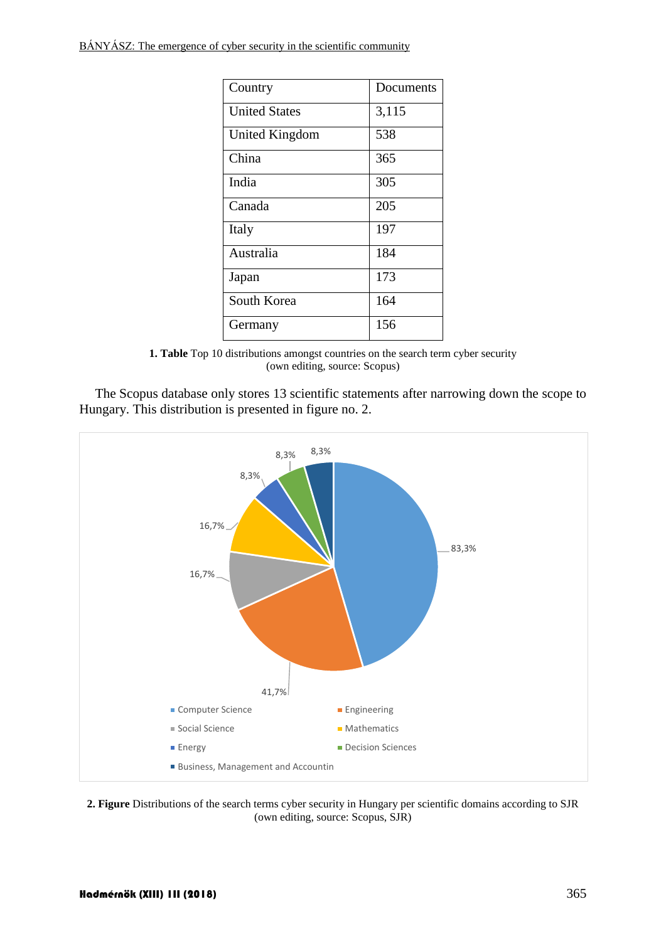BÁNYÁSZ: The emergence of cyber security in the scientific community

| Country              | Documents |
|----------------------|-----------|
| <b>United States</b> | 3,115     |
| United Kingdom       | 538       |
| China                | 365       |
| India                | 305       |
| Canada               | 205       |
| Italy                | 197       |
| Australia            | 184       |
| Japan                | 173       |
| South Korea          | 164       |
| Germany              | 156       |

**1. Table** Top 10 distributions amongst countries on the search term cyber security (own editing, source: Scopus)

The Scopus database only stores 13 scientific statements after narrowing down the scope to Hungary. This distribution is presented in figure no. 2.



**2. Figure** Distributions of the search terms cyber security in Hungary per scientific domains according to SJR (own editing, source: Scopus, SJR)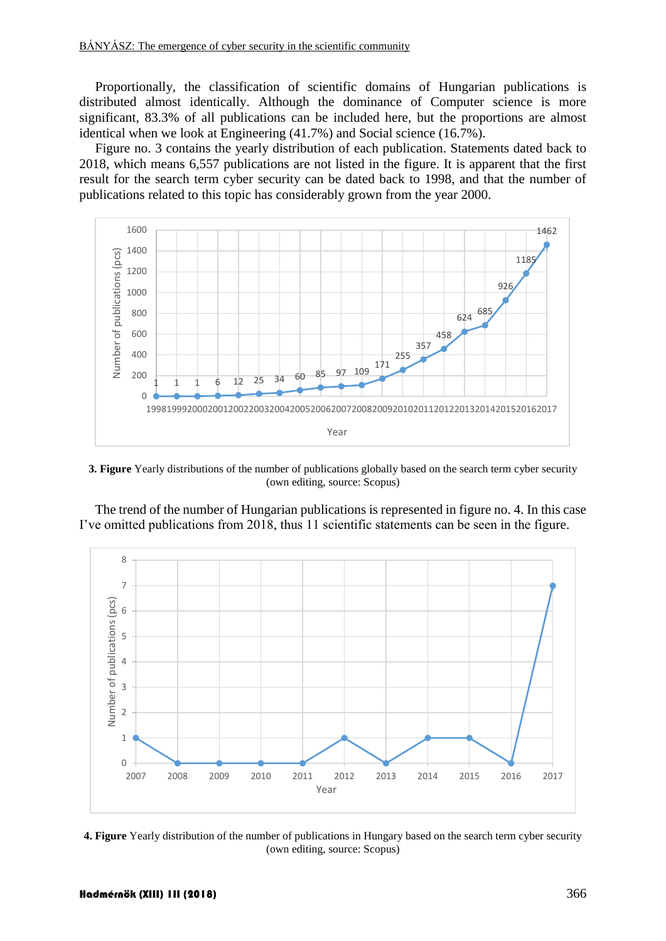Proportionally, the classification of scientific domains of Hungarian publications is distributed almost identically. Although the dominance of Computer science is more significant, 83.3% of all publications can be included here, but the proportions are almost identical when we look at Engineering (41.7%) and Social science (16.7%).

Figure no. 3 contains the yearly distribution of each publication. Statements dated back to 2018, which means 6,557 publications are not listed in the figure. It is apparent that the first result for the search term cyber security can be dated back to 1998, and that the number of publications related to this topic has considerably grown from the year 2000.



**3. Figure** Yearly distributions of the number of publications globally based on the search term cyber security (own editing, source: Scopus)

The trend of the number of Hungarian publications is represented in figure no. 4. In this case I've omitted publications from 2018, thus 11 scientific statements can be seen in the figure.



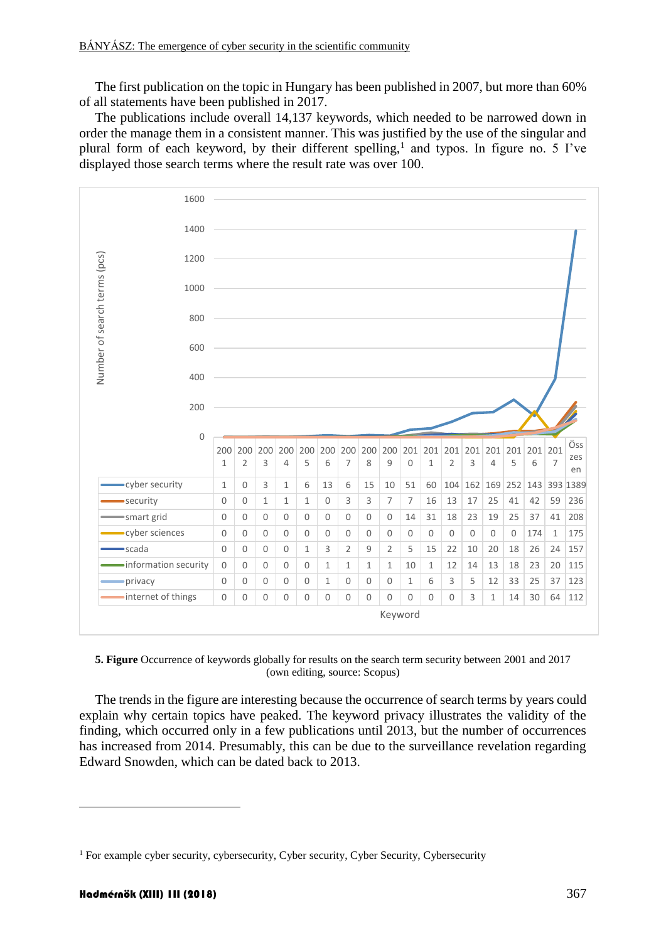The first publication on the topic in Hungary has been published in 2007, but more than 60% of all statements have been published in 2017.

The publications include overall 14,137 keywords, which needed to be narrowed down in order the manage them in a consistent manner. This was justified by the use of the singular and plural form of each keyword, by their different spelling,<sup>1</sup> and typos. In figure no. 5 I've displayed those search terms where the result rate was over 100.



**5. Figure** Occurrence of keywords globally for results on the search term security between 2001 and 2017 (own editing, source: Scopus)

The trends in the figure are interesting because the occurrence of search terms by years could explain why certain topics have peaked. The keyword privacy illustrates the validity of the finding, which occurred only in a few publications until 2013, but the number of occurrences has increased from 2014. Presumably, this can be due to the surveillance revelation regarding Edward Snowden, which can be dated back to 2013.

For example cyber security, cybersecurity, Cyber security, Cyber Security, Cybersecurity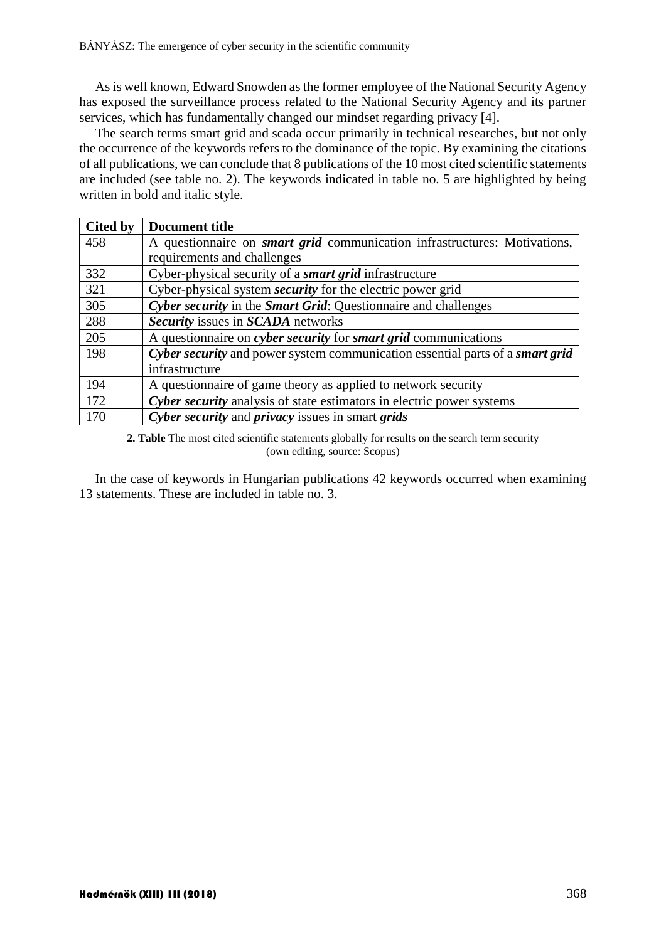As is well known, Edward Snowden as the former employee of the National Security Agency has exposed the surveillance process related to the National Security Agency and its partner services, which has fundamentally changed our mindset regarding privacy [4].

The search terms smart grid and scada occur primarily in technical researches, but not only the occurrence of the keywords refers to the dominance of the topic. By examining the citations of all publications, we can conclude that 8 publications of the 10 most cited scientific statements are included (see table no. 2). The keywords indicated in table no. 5 are highlighted by being written in bold and italic style.

| Cited by | Document title                                                                   |
|----------|----------------------------------------------------------------------------------|
| 458      | A questionnaire on <i>smart grid</i> communication infrastructures: Motivations, |
|          | requirements and challenges                                                      |
| 332      | Cyber-physical security of a <i>smart grid</i> infrastructure                    |
| 321      | Cyber-physical system <i>security</i> for the electric power grid                |
| 305      | Cyber security in the Smart Grid: Questionnaire and challenges                   |
| 288      | Security issues in SCADA networks                                                |
| 205      | A questionnaire on cyber security for smart grid communications                  |
| 198      | Cyber security and power system communication essential parts of a smart grid    |
|          | infrastructure                                                                   |
| 194      | A questionnaire of game theory as applied to network security                    |
| 172      | Cyber security analysis of state estimators in electric power systems            |
| 170      | Cyber security and privacy issues in smart grids                                 |

**2. Table** The most cited scientific statements globally for results on the search term security (own editing, source: Scopus)

In the case of keywords in Hungarian publications 42 keywords occurred when examining 13 statements. These are included in table no. 3.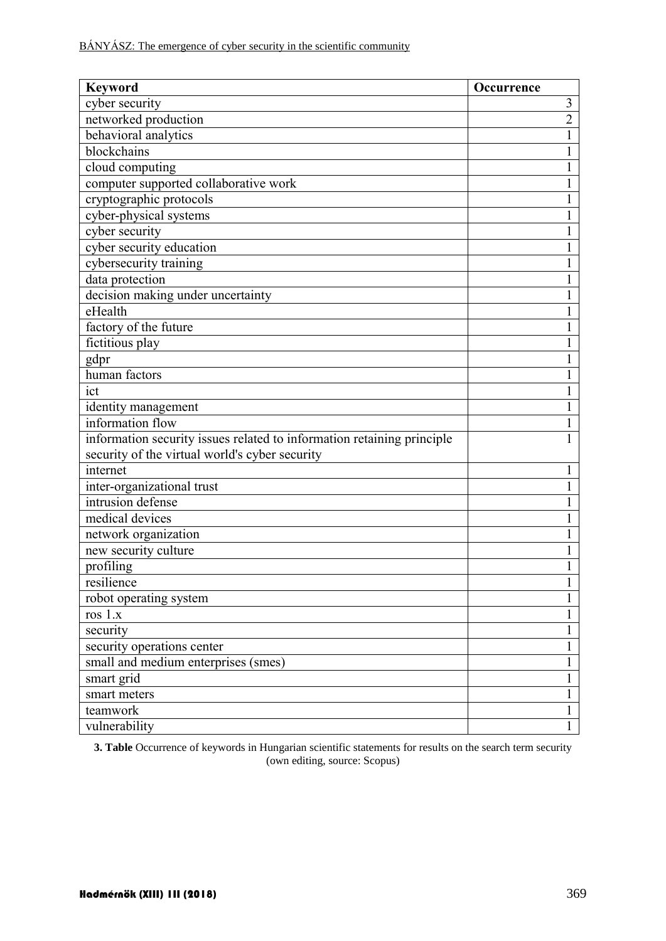| <b>Keyword</b>                                                         | <b>Occurrence</b> |
|------------------------------------------------------------------------|-------------------|
| cyber security                                                         | 3                 |
| networked production                                                   | $\overline{2}$    |
| behavioral analytics                                                   |                   |
| blockchains                                                            |                   |
| cloud computing                                                        |                   |
| computer supported collaborative work                                  | 1                 |
| cryptographic protocols                                                |                   |
| cyber-physical systems                                                 |                   |
| cyber security                                                         |                   |
| cyber security education                                               |                   |
| cybersecurity training                                                 | 1                 |
| data protection                                                        |                   |
| decision making under uncertainty                                      |                   |
| eHealth                                                                |                   |
| factory of the future                                                  |                   |
| fictitious play                                                        |                   |
| gdpr                                                                   |                   |
| human factors                                                          |                   |
| ict                                                                    |                   |
| identity management                                                    |                   |
| information flow                                                       |                   |
| information security issues related to information retaining principle |                   |
| security of the virtual world's cyber security                         |                   |
| internet                                                               |                   |
| inter-organizational trust                                             |                   |
| intrusion defense                                                      |                   |
| medical devices                                                        | 1                 |
| network organization                                                   |                   |
| new security culture                                                   |                   |
| profiling                                                              |                   |
| resilience                                                             |                   |
| robot operating system                                                 | 1                 |
| ros $1.x$                                                              | 1                 |
| security                                                               |                   |
| security operations center                                             | 1                 |
| small and medium enterprises (smes)                                    | 1                 |
| smart grid                                                             | 1                 |
| smart meters                                                           | $\mathbf{1}$      |
| teamwork                                                               | 1                 |
| vulnerability                                                          | 1                 |

**3. Table** Occurrence of keywords in Hungarian scientific statements for results on the search term security (own editing, source: Scopus)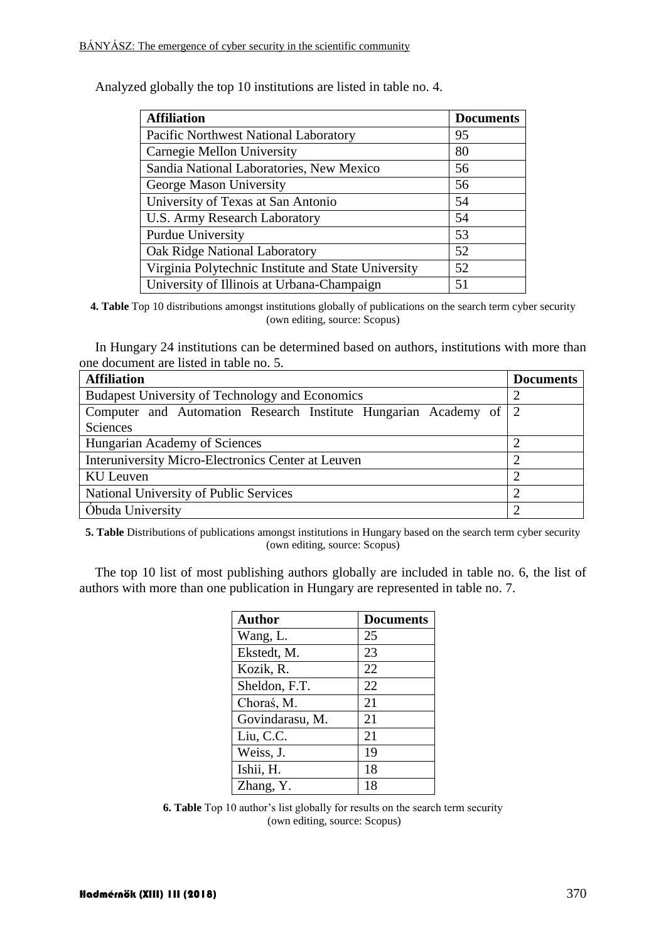| <b>Affiliation</b>                                  | <b>Documents</b> |
|-----------------------------------------------------|------------------|
| Pacific Northwest National Laboratory               | 95               |
| Carnegie Mellon University                          | 80               |
| Sandia National Laboratories, New Mexico            | 56               |
| George Mason University                             | 56               |
| University of Texas at San Antonio                  | 54               |
| <b>U.S. Army Research Laboratory</b>                | 54               |
| Purdue University                                   | 53               |
| Oak Ridge National Laboratory                       | 52               |
| Virginia Polytechnic Institute and State University | 52               |
| University of Illinois at Urbana-Champaign          | 51               |

Analyzed globally the top 10 institutions are listed in table no. 4.

**4. Table** Top 10 distributions amongst institutions globally of publications on the search term cyber security (own editing, source: Scopus)

In Hungary 24 institutions can be determined based on authors, institutions with more than one document are listed in table no. 5.

| <b>Affiliation</b>                                                | <b>Documents</b> |  |  |
|-------------------------------------------------------------------|------------------|--|--|
| Budapest University of Technology and Economics                   |                  |  |  |
| Computer and Automation Research Institute Hungarian Academy of 2 |                  |  |  |
| Sciences                                                          |                  |  |  |
| Hungarian Academy of Sciences                                     |                  |  |  |
| Interuniversity Micro-Electronics Center at Leuven                |                  |  |  |
| KU Leuven                                                         |                  |  |  |
| National University of Public Services                            |                  |  |  |
| Óbuda University                                                  |                  |  |  |

**5. Table** Distributions of publications amongst institutions in Hungary based on the search term cyber security (own editing, source: Scopus)

The top 10 list of most publishing authors globally are included in table no. 6, the list of authors with more than one publication in Hungary are represented in table no. 7.

| <b>Author</b>   | <b>Documents</b> |
|-----------------|------------------|
| Wang, L.        | 25               |
| Ekstedt, M.     | 23               |
| Kozik, R.       | 22               |
| Sheldon, F.T.   | 22               |
| Choraś, M.      | 21               |
| Govindarasu, M. | 21               |
| Liu, C.C.       | 21               |
| Weiss, J.       | 19               |
| Ishii, H.       | 18               |
| Zhang, Y.       | 18               |

**6. Table** Top 10 author's list globally for results on the search term security (own editing, source: Scopus)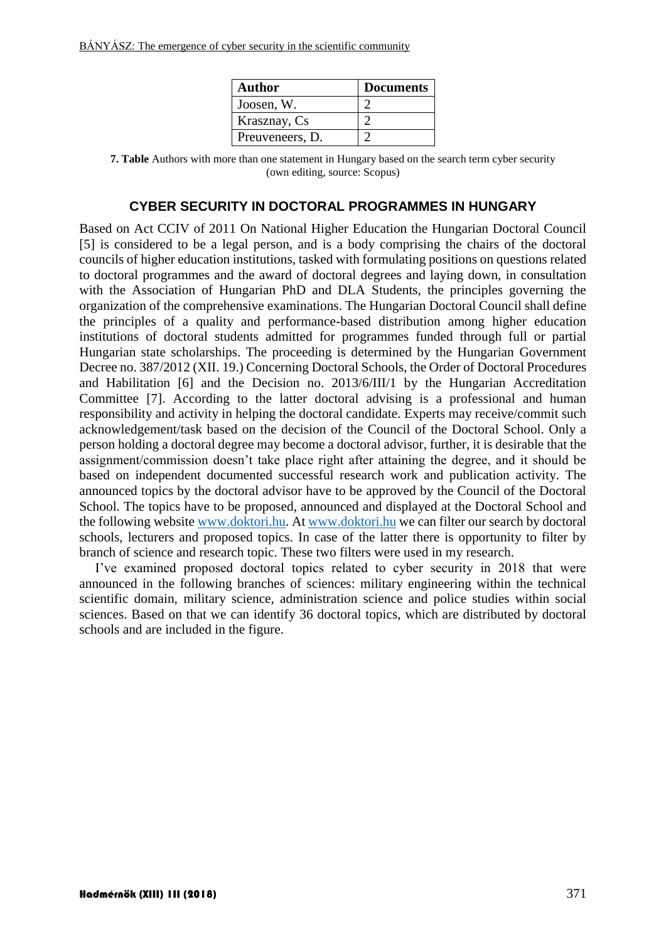| <b>Author</b>   | <b>Documents</b> |
|-----------------|------------------|
| Joosen, W.      |                  |
| Krasznay, Cs    |                  |
| Preuveneers, D. |                  |

**7. Table** Authors with more than one statement in Hungary based on the search term cyber security (own editing, source: Scopus)

## **CYBER SECURITY IN DOCTORAL PROGRAMMES IN HUNGARY**

Based on Act CCIV of 2011 On National Higher Education the Hungarian Doctoral Council [5] is considered to be a legal person, and is a body comprising the chairs of the doctoral councils of higher education institutions, tasked with formulating positions on questions related to doctoral programmes and the award of doctoral degrees and laying down, in consultation with the Association of Hungarian PhD and DLA Students, the principles governing the organization of the comprehensive examinations. The Hungarian Doctoral Council shall define the principles of a quality and performance-based distribution among higher education institutions of doctoral students admitted for programmes funded through full or partial Hungarian state scholarships. The proceeding is determined by the Hungarian Government Decree no. 387/2012 (XII. 19.) Concerning Doctoral Schools, the Order of Doctoral Procedures and Habilitation [6] and the Decision no. 2013/6/III/1 by the Hungarian Accreditation Committee [7]. According to the latter doctoral advising is a professional and human responsibility and activity in helping the doctoral candidate. Experts may receive/commit such acknowledgement/task based on the decision of the Council of the Doctoral School. Only a person holding a doctoral degree may become a doctoral advisor, further, it is desirable that the assignment/commission doesn't take place right after attaining the degree, and it should be based on independent documented successful research work and publication activity. The announced topics by the doctoral advisor have to be approved by the Council of the Doctoral School. The topics have to be proposed, announced and displayed at the Doctoral School and the following websit[e www.doktori.hu.](http://www.doktori.hu/) A[t www.doktori.hu](http://www.doktori.hu/) we can filter our search by doctoral schools, lecturers and proposed topics. In case of the latter there is opportunity to filter by branch of science and research topic. These two filters were used in my research.

I've examined proposed doctoral topics related to cyber security in 2018 that were announced in the following branches of sciences: military engineering within the technical scientific domain, military science, administration science and police studies within social sciences. Based on that we can identify 36 doctoral topics, which are distributed by doctoral schools and are included in the figure.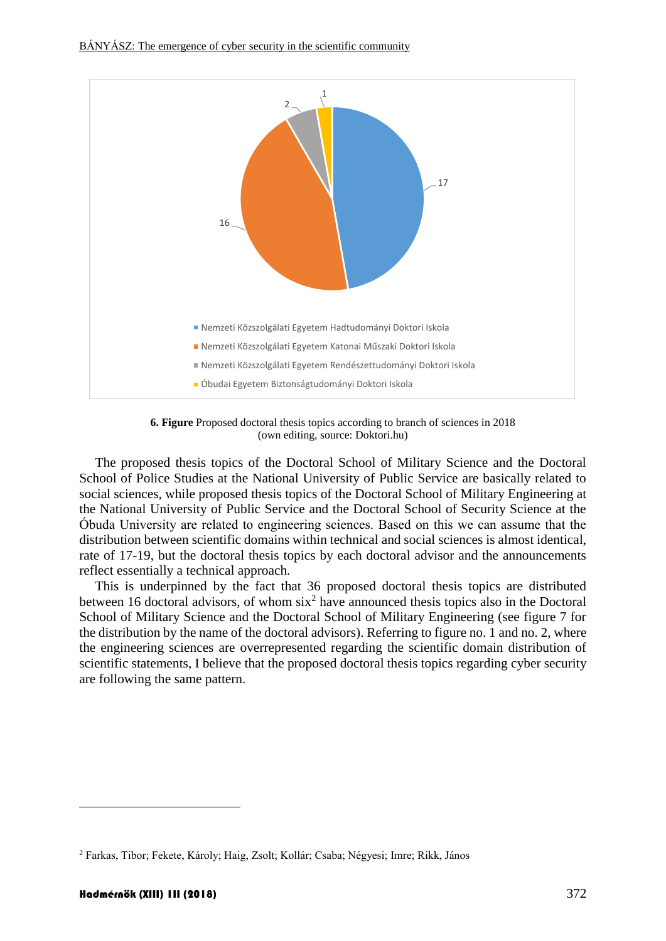

**6. Figure** Proposed doctoral thesis topics according to branch of sciences in 2018 (own editing, source: Doktori.hu)

The proposed thesis topics of the Doctoral School of Military Science and the Doctoral School of Police Studies at the National University of Public Service are basically related to social sciences, while proposed thesis topics of the Doctoral School of Military Engineering at the National University of Public Service and the Doctoral School of Security Science at the Óbuda University are related to engineering sciences. Based on this we can assume that the distribution between scientific domains within technical and social sciences is almost identical, rate of 17-19, but the doctoral thesis topics by each doctoral advisor and the announcements reflect essentially a technical approach.

This is underpinned by the fact that 36 proposed doctoral thesis topics are distributed between 16 doctoral advisors, of whom  $\sin^2$  have announced thesis topics also in the Doctoral School of Military Science and the Doctoral School of Military Engineering (see figure 7 for the distribution by the name of the doctoral advisors). Referring to figure no. 1 and no. 2, where the engineering sciences are overrepresented regarding the scientific domain distribution of scientific statements, I believe that the proposed doctoral thesis topics regarding cyber security are following the same pattern.

1

<sup>2</sup> Farkas, Tibor; Fekete, Károly; Haig, Zsolt; Kollár; Csaba; Négyesi; Imre; Rikk, János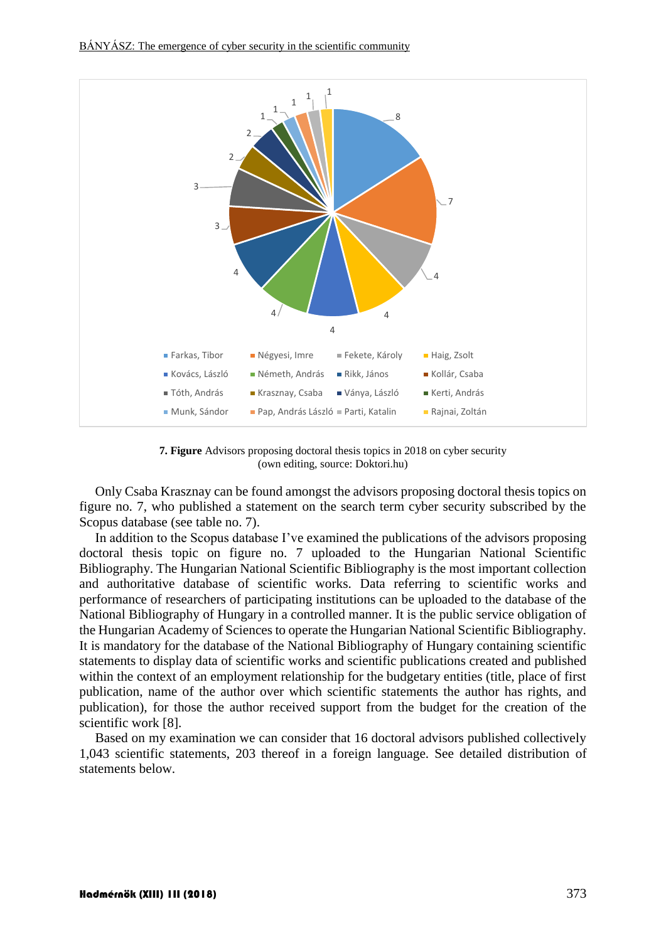

**7. Figure** Advisors proposing doctoral thesis topics in 2018 on cyber security (own editing, source: Doktori.hu)

Only Csaba Krasznay can be found amongst the advisors proposing doctoral thesis topics on figure no. 7, who published a statement on the search term cyber security subscribed by the Scopus database (see table no. 7).

In addition to the Scopus database I've examined the publications of the advisors proposing doctoral thesis topic on figure no. 7 uploaded to the Hungarian National Scientific Bibliography. The Hungarian National Scientific Bibliography is the most important collection and authoritative database of scientific works. Data referring to scientific works and performance of researchers of participating institutions can be uploaded to the database of the National Bibliography of Hungary in a controlled manner. It is the public service obligation of the Hungarian Academy of Sciences to operate the Hungarian National Scientific Bibliography. It is mandatory for the database of the National Bibliography of Hungary containing scientific statements to display data of scientific works and scientific publications created and published within the context of an employment relationship for the budgetary entities (title, place of first publication, name of the author over which scientific statements the author has rights, and publication), for those the author received support from the budget for the creation of the scientific work [8].

Based on my examination we can consider that 16 doctoral advisors published collectively 1,043 scientific statements, 203 thereof in a foreign language. See detailed distribution of statements below.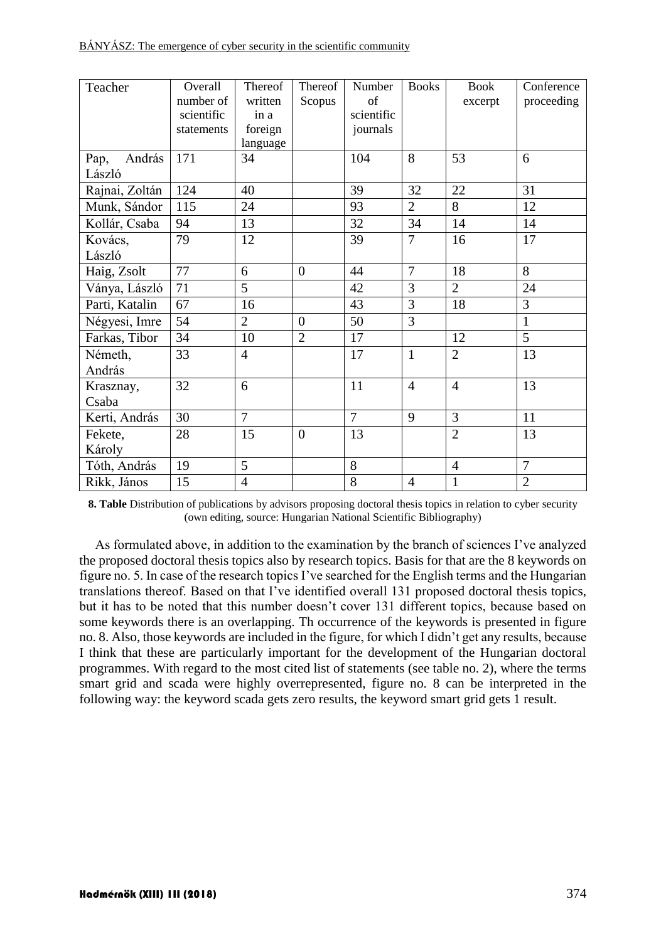| BANYASZ: The emergence of cyber security in the scientific community |  |  |
|----------------------------------------------------------------------|--|--|
|                                                                      |  |  |

| Teacher        | Overall    | Thereof        | Thereof        | Number         | <b>Books</b>   | <b>Book</b>    | Conference     |
|----------------|------------|----------------|----------------|----------------|----------------|----------------|----------------|
|                | number of  | written        | Scopus         | of             |                | excerpt        | proceeding     |
|                | scientific | in a           |                | scientific     |                |                |                |
|                | statements | foreign        |                | journals       |                |                |                |
|                |            | language       |                |                |                |                |                |
| András<br>Pap, | 171        | 34             |                | 104            | 8              | 53             | 6              |
| László         |            |                |                |                |                |                |                |
| Rajnai, Zoltán | 124        | 40             |                | 39             | 32             | 22             | 31             |
| Munk, Sándor   | 115        | 24             |                | 93             | $\overline{2}$ | 8              | 12             |
| Kollár, Csaba  | 94         | 13             |                | 32             | 34             | 14             | 14             |
| Kovács,        | 79         | 12             |                | 39             | 7              | 16             | 17             |
| László         |            |                |                |                |                |                |                |
| Haig, Zsolt    | 77         | 6              | $\overline{0}$ | 44             | $\overline{7}$ | 18             | 8              |
| Ványa, László  | 71         | $\overline{5}$ |                | 42             | 3              | $\overline{2}$ | 24             |
| Parti, Katalin | 67         | 16             |                | 43             | 3              | 18             | 3              |
| Négyesi, Imre  | 54         | $\overline{2}$ | $\overline{0}$ | 50             | $\overline{3}$ |                | $\mathbf{1}$   |
| Farkas, Tibor  | 34         | 10             | $\overline{2}$ | 17             |                | 12             | 5              |
| Németh,        | 33         | $\overline{4}$ |                | 17             | $\mathbf{1}$   | $\overline{2}$ | 13             |
| András         |            |                |                |                |                |                |                |
| Krasznay,      | 32         | 6              |                | 11             | $\overline{4}$ | $\overline{4}$ | 13             |
| Csaba          |            |                |                |                |                |                |                |
| Kerti, András  | 30         | $\overline{7}$ |                | $\overline{7}$ | 9              | 3              | 11             |
| Fekete,        | 28         | 15             | $\overline{0}$ | 13             |                | $\overline{2}$ | 13             |
| Károly         |            |                |                |                |                |                |                |
| Tóth, András   | 19         | 5              |                | 8              |                | $\overline{4}$ | $\overline{7}$ |
| Rikk, János    | 15         | $\overline{4}$ |                | 8              | $\overline{4}$ | $\mathbf{1}$   | $\overline{2}$ |

**8. Table** Distribution of publications by advisors proposing doctoral thesis topics in relation to cyber security (own editing, source: Hungarian National Scientific Bibliography)

As formulated above, in addition to the examination by the branch of sciences I've analyzed the proposed doctoral thesis topics also by research topics. Basis for that are the 8 keywords on figure no. 5. In case of the research topics I've searched for the English terms and the Hungarian translations thereof. Based on that I've identified overall 131 proposed doctoral thesis topics, but it has to be noted that this number doesn't cover 131 different topics, because based on some keywords there is an overlapping. Th occurrence of the keywords is presented in figure no. 8. Also, those keywords are included in the figure, for which I didn't get any results, because I think that these are particularly important for the development of the Hungarian doctoral programmes. With regard to the most cited list of statements (see table no. 2), where the terms smart grid and scada were highly overrepresented, figure no. 8 can be interpreted in the following way: the keyword scada gets zero results, the keyword smart grid gets 1 result.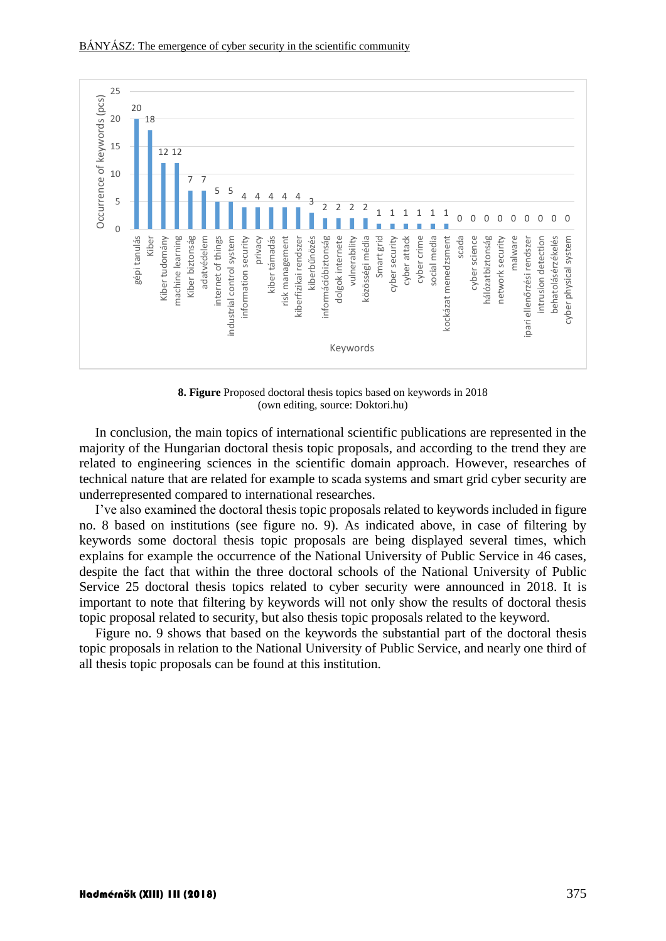

**8. Figure** Proposed doctoral thesis topics based on keywords in 2018 (own editing, source: Doktori.hu)

In conclusion, the main topics of international scientific publications are represented in the majority of the Hungarian doctoral thesis topic proposals, and according to the trend they are related to engineering sciences in the scientific domain approach. However, researches of technical nature that are related for example to scada systems and smart grid cyber security are underrepresented compared to international researches.

I've also examined the doctoral thesis topic proposals related to keywords included in figure no. 8 based on institutions (see figure no. 9). As indicated above, in case of filtering by keywords some doctoral thesis topic proposals are being displayed several times, which explains for example the occurrence of the National University of Public Service in 46 cases, despite the fact that within the three doctoral schools of the National University of Public Service 25 doctoral thesis topics related to cyber security were announced in 2018. It is important to note that filtering by keywords will not only show the results of doctoral thesis topic proposal related to security, but also thesis topic proposals related to the keyword.

Figure no. 9 shows that based on the keywords the substantial part of the doctoral thesis topic proposals in relation to the National University of Public Service, and nearly one third of all thesis topic proposals can be found at this institution.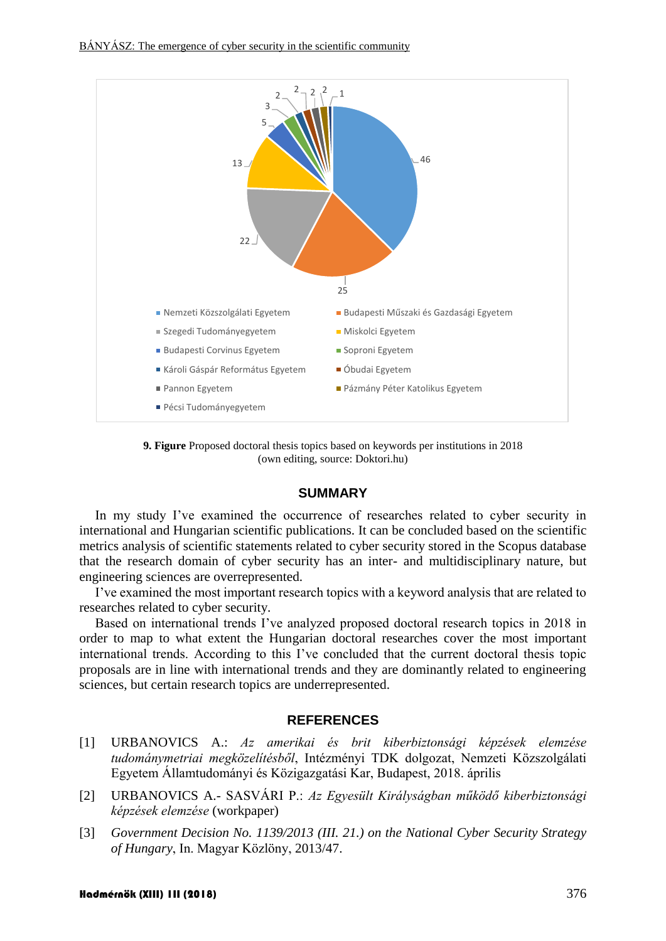

**9. Figure** Proposed doctoral thesis topics based on keywords per institutions in 2018 (own editing, source: Doktori.hu)

#### **SUMMARY**

In my study I've examined the occurrence of researches related to cyber security in international and Hungarian scientific publications. It can be concluded based on the scientific metrics analysis of scientific statements related to cyber security stored in the Scopus database that the research domain of cyber security has an inter- and multidisciplinary nature, but engineering sciences are overrepresented.

I've examined the most important research topics with a keyword analysis that are related to researches related to cyber security.

Based on international trends I've analyzed proposed doctoral research topics in 2018 in order to map to what extent the Hungarian doctoral researches cover the most important international trends. According to this I've concluded that the current doctoral thesis topic proposals are in line with international trends and they are dominantly related to engineering sciences, but certain research topics are underrepresented.

## **REFERENCES**

- [1] URBANOVICS A.: *Az amerikai és brit kiberbiztonsági képzések elemzése tudománymetriai megközelítésből*, Intézményi TDK dolgozat, Nemzeti Közszolgálati Egyetem Államtudományi és Közigazgatási Kar, Budapest, 2018. április
- [2] URBANOVICS A.- SASVÁRI P.: *Az Egyesült Királyságban működő kiberbiztonsági képzések elemzése* (workpaper)
- [3] *Government Decision No. 1139/2013 (III. 21.) on the National Cyber Security Strategy of Hungary*, In. Magyar Közlöny, 2013/47.